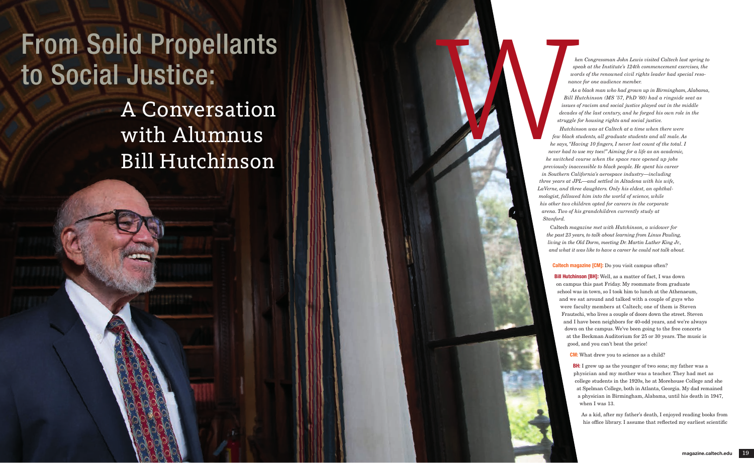*hen Congressman John Lewis visited Caltech last spring to speak at the Institute's 124th commencement exercises, the words of the renowned civil rights leader had special resonance for one audience member.* 

*As a black man who had grown up in Birmingham, Alabama, Bill Hutchinson (MS '57, PhD '60) had a ringside seat as issues of racism and social justice played out in the middle decades of the last century, and he forged his own role in the struggle for housing rights and social justice.* 

**Bill Hutchinson [BH]:** Well, as a matter of fact, I was down on campus this past Friday. My roommate from graduate school was in town, so I took him to lunch at the Athenaeum, and we sat around and talked with a couple of guys who were faculty members at Caltech; one of them is Steven Frautschi, who lives a couple of doors down the street. Steven and I have been neighbors for 40-odd years, and we're always down on the campus. We've been going to the free concerts at the Beckman Auditorium for 25 or 30 years. The music is good, and you can't beat the price!

> BH: I grew up as the younger of two sons; my father was a physician and my mother was a teacher. They had met as college students in the 1920s, he at Morehouse College and she at Spelman College, both in Atlanta, Georgia. My dad remained a physician in Birmingham, Alabama, until his death in 1947, when I was 13.

Caltech *magazine met with Hutchinson, a widower for the past 23 years, to talk about learning from Linus Pauling, living in the Old Dorm, meeting Dr. Martin Luther King Jr., and what it was like to have a career he could not talk about.*

## Caltech magazine [CM]: Do you visit campus often?

*Hutchinson was at Caltech at a time when there were few black students, all graduate students and all male. As he says, "Having 10 fingers, I never lost count of the total. I never had to use my toes!" Aiming for a life as an academic, he switched course when the space race opened up jobs previously inaccessible to black people. He spent his career in Southern California's aerospace industry—including three years at JPL—and settled in Altadena with his wife, LaVerne, and three daughters. Only his eldest, an ophthalmologist, followed him into the world of science, while his other two children opted for careers in the corporate arena. Two of his grandchildren currently study at Stanford.* W

CM: What drew you to science as a child?

As a kid, after my father's death, I enjoyed reading books from his office library. I assume that reflected my earliest scientific

## From Solid Propellants to Social Justice:

A Conversation with Alumnus Bill Hutchinson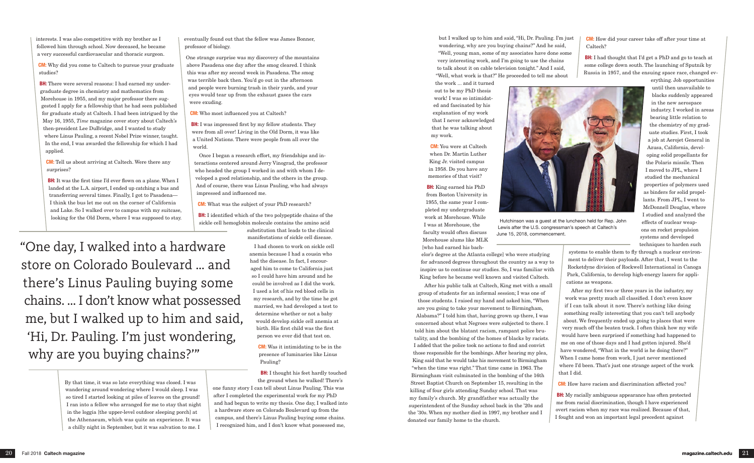eventually found out that the fellow was James Bonner, professor of biology.

One strange surprise was my discovery of the mountains above Pasadena one day after the smog cleared. I think this was after my second week in Pasadena. The smog was terrible back then. You'd go out in the afternoon and people were burning trash in their yards, and your eyes would tear up from the exhaust gases the cars were exuding.

**BH:** I was impressed first by my fellow students. They were from all over! Living in the Old Dorm, it was like a United Nations. There were people from all over the world.

CM: Who most influenced you at Caltech?

**BH:** I identified which of the two polypeptide chains of the sickle cell hemoglobin molecule contains the amino acid substitution that leads to the clinical

Once I began a research effort, my friendships and interactions centered around Jerry Vinograd, the professor who headed the group I worked in and with whom I developed a good relationship, and the others in the group. And of course, there was Linus Pauling, who had always impressed and influenced me.

> **BH:** I thought his feet hardly touched the ground when he walked! There's

CM: What was the subject of your PhD research?

manifestations of sickle cell disease. I had chosen to work on sickle cell anemia because I had a cousin who had the disease. In fact, I encouraged him to come to California just so I could have him around and he could be involved as I did the work. I used a lot of his red blood cells in my research, and by the time he got married, we had developed a test to determine whether or not a baby would develop sickle cell anemia at birth. His first child was the first

person we ever did that test on.

CM: Was it intimidating to be in the presence of luminaries like Linus Pauling?

one funny story I can tell about Linus Pauling. This was after I completed the experimental work for my PhD and had begun to write my thesis. One day, I walked into a hardware store on Colorado Boulevard up from the campus, and there's Linus Pauling buying some chains. I recognized him, and I don't know what possessed me,

**BH:** I had thought that I'd get a PhD and go to teach at some college down south. The launching of Sputnik by Russia in 1957, and the ensuing space race, changed ev-



but I walked up to him and said, "Hi, Dr. Pauling. I'm just wondering, why are you buying chains?" And he said, "Well, young man, some of my associates have done some very interesting work, and I'm going to use the chains to talk about it on cable television tonight." And I said, "Well, what work is that?" He proceeded to tell me about

the work ... and it turned out to be my PhD thesis work! I was so intimidated and fascinated by his explanation of my work that I never acknowledged that he was talking about my work.

CM: You were at Caltech when Dr. Martin Luther King Jr. visited campus in 1958. Do you have any memories of that visit?

BH: King earned his PhD from Boston University in 1955, the same year I completed my undergraduate work at Morehouse. While I was at Morehouse, the faculty would often discuss Morehouse alums like MLK [who had earned his bach-

**BH:** My racially ambiguous appearance has often protected me from racial discrimination, though I have experienced overt racism when my race was realized. Because of that, I fought and won an important legal precedent against

elor's degree at the Atlanta college] who were studying for advanced degrees throughout the country as a way to inspire us to continue our studies. So, I was familiar with King before he became well known and visited Caltech.

**BH:** There were several reasons: I had earned my undergraduate degree in chemistry and mathematics from Morehouse in 1955, and my major professor there suggested I apply for a fellowship that he had seen published for graduate study at Caltech. I had been intrigued by the May 16, 1955, *Time* magazine cover story about Caltech's then-president Lee DuBridge, and I wanted to study where Linus Pauling, a recent Nobel Prize winner, taught. In the end, I was awarded the fellowship for which I had applied.

> After his public talk at Caltech, King met with a small group of students for an informal session; I was one of those students. I raised my hand and asked him, "When are you going to take your movement to Birmingham, Alabama?" I told him that, having grown up there, I was concerned about what Negroes were subjected to there. I told him about the blatant racism, rampant police brutality, and the bombing of the homes of blacks by racists. I added that the police took no actions to find and convict those responsible for the bombings. After hearing my plea, King said that he would take his movement to Birmingham "when the time was right." That time came in 1963. The Birmingham visit culminated in the bombing of the 16th Street Baptist Church on September 15, resulting in the killing of four girls attending Sunday school. That was my family's church. My grandfather was actually the superintendent of the Sunday school back in the '20s and the '30s. When my mother died in 1997, my brother and I donated our family home to the church.

CM: How did your career take off after your time at Caltech?

> erything. Job opportunities until then unavailable to blacks suddenly appeared in the new aerospace industry. I worked in areas bearing little relation to the chemistry of my graduate studies. First, I took a job at Aerojet General in Azusa, California, developing solid propellants for the Polaris missile. Then I moved to JPL, where I studied the mechanical properties of polymers used as binders for solid propellants. From JPL, I went to McDonnell Douglas, where I studied and analyzed the effects of nuclear weapons on rocket propulsion systems and developed techniques to harden such

systems to enable them to fly through a nuclear environment to deliver their payloads. After that, I went to the Rocketdyne division of Rockwell International in Canoga Park, California, to develop high-energy lasers for applications as weapons.

After my first two or three years in the industry, my work was pretty much all classified. I don't even know if I can talk about it now. There's nothing like doing something really interesting that you can't tell anybody about. We frequently ended up going to places that were very much off the beaten track. I often think how my wife would have been surprised if something had happened to me on one of those days and I had gotten injured. She'd have wondered, "What in the world is he doing there?" When I came home from work, I just never mentioned where I'd been. That's just one strange aspect of the work that I did.

CM: How have racism and discrimination affected you?

interests. I was also competitive with my brother as I followed him through school. Now deceased, he became a very successful cardiovascular and thoracic surgeon.

CM: Why did you come to Caltech to pursue your graduate studies?

CM: Tell us about arriving at Caltech. Were there any surprises?

BH: It was the first time I'd ever flown on a plane. When I landed at the L.A. airport, I ended up catching a bus and transferring several times. Finally, I got to Pasadena— I think the bus let me out on the corner of California and Lake. So I walked over to campus with my suitcase, looking for the Old Dorm, where I was supposed to stay.

> By that time, it was so late everything was closed. I was wandering around wondering where I would sleep. I was so tired I started looking at piles of leaves on the ground! I ran into a fellow who arranged for me to stay that night in the loggia [the upper-level outdoor sleeping porch] at the Athenaeum, which was quite an experience. It was a chilly night in September, but it was salvation to me. I

 Hutchinson was a guest at the luncheon held for Rep. John Lewis after the U.S. congressman's speech at Caltech's June 15, 2018, commencement.

"One day, I walked into a hardware store on Colorado Boulevard … and there's Linus Pauling buying some chains. … I don't know what possessed me, but I walked up to him and said, 'Hi, Dr. Pauling. I'm just wondering, why are you buying chains?'"